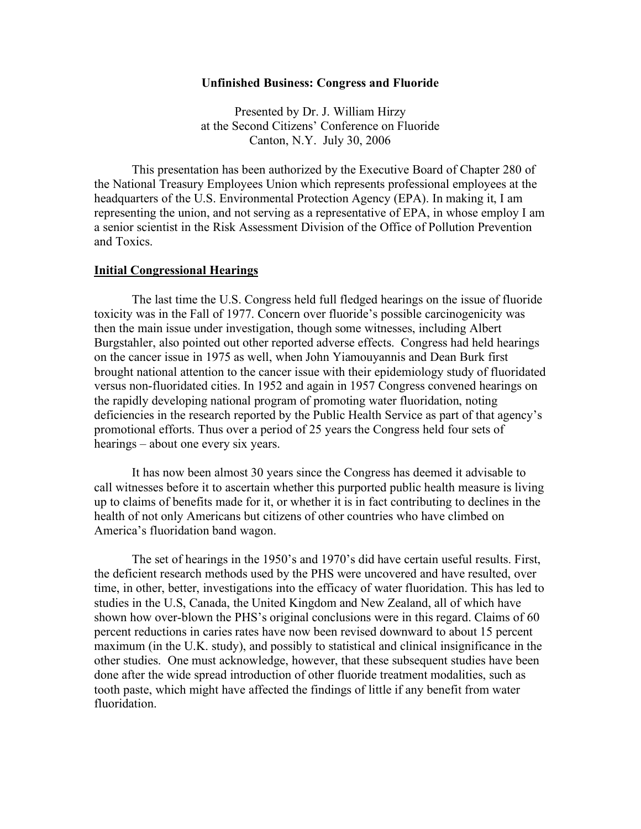### **Unfinished Business: Congress and Fluoride**

Presented by Dr. J. William Hirzy at the Second Citizens' Conference on Fluoride Canton, N.Y. July 30, 2006

This presentation has been authorized by the Executive Board of Chapter 280 of the National Treasury Employees Union which represents professional employees at the headquarters of the U.S. Environmental Protection Agency (EPA). In making it, I am representing the union, and not serving as a representative of EPA, in whose employ I am a senior scientist in the Risk Assessment Division of the Office of Pollution Prevention and Toxics.

## **Initial Congressional Hearings**

The last time the U.S. Congress held full fledged hearings on the issue of fluoride toxicity was in the Fall of 1977. Concern over fluoride's possible carcinogenicity was then the main issue under investigation, though some witnesses, including Albert Burgstahler, also pointed out other reported adverse effects. Congress had held hearings on the cancer issue in 1975 as well, when John Yiamouyannis and Dean Burk first brought national attention to the cancer issue with their epidemiology study of fluoridated versus non-fluoridated cities. In 1952 and again in 1957 Congress convened hearings on the rapidly developing national program of promoting water fluoridation, noting deficiencies in the research reported by the Public Health Service as part of that agency's promotional efforts. Thus over a period of 25 years the Congress held four sets of hearings – about one every six years.

It has now been almost 30 years since the Congress has deemed it advisable to call witnesses before it to ascertain whether this purported public health measure is living up to claims of benefits made for it, or whether it is in fact contributing to declines in the health of not only Americans but citizens of other countries who have climbed on America's fluoridation band wagon.

The set of hearings in the 1950's and 1970's did have certain useful results. First, the deficient research methods used by the PHS were uncovered and have resulted, over time, in other, better, investigations into the efficacy of water fluoridation. This has led to studies in the U.S, Canada, the United Kingdom and New Zealand, all of which have shown how over-blown the PHS's original conclusions were in this regard. Claims of 60 percent reductions in caries rates have now been revised downward to about 15 percent maximum (in the U.K. study), and possibly to statistical and clinical insignificance in the other studies. One must acknowledge, however, that these subsequent studies have been done after the wide spread introduction of other fluoride treatment modalities, such as tooth paste, which might have affected the findings of little if any benefit from water fluoridation.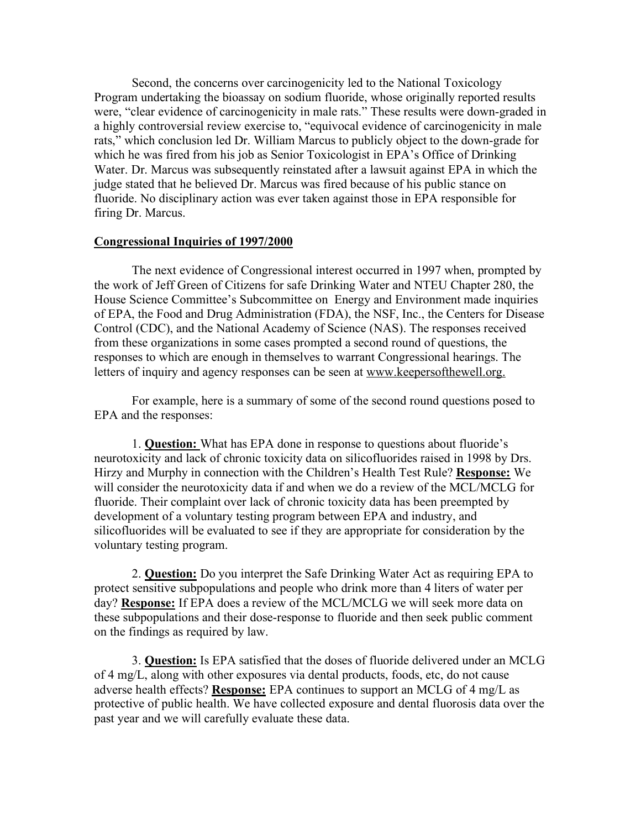Second, the concerns over carcinogenicity led to the National Toxicology Program undertaking the bioassay on sodium fluoride, whose originally reported results were, "clear evidence of carcinogenicity in male rats." These results were down-graded in a highly controversial review exercise to, "equivocal evidence of carcinogenicity in male rats," which conclusion led Dr. William Marcus to publicly object to the down-grade for which he was fired from his job as Senior Toxicologist in EPA's Office of Drinking Water. Dr. Marcus was subsequently reinstated after a lawsuit against EPA in which the judge stated that he believed Dr. Marcus was fired because of his public stance on fluoride. No disciplinary action was ever taken against those in EPA responsible for firing Dr. Marcus.

# **Congressional Inquiries of 1997/2000**

The next evidence of Congressional interest occurred in 1997 when, prompted by the work of Jeff Green of Citizens for safe Drinking Water and NTEU Chapter 280, the House Science Committee's Subcommittee on Energy and Environment made inquiries of EPA, the Food and Drug Administration (FDA), the NSF, Inc., the Centers for Disease Control (CDC), and the National Academy of Science (NAS). The responses received from these organizations in some cases prompted a second round of questions, the responses to which are enough in themselves to warrant Congressional hearings. The letters of inquiry and agency responses can be seen at www.keepersofthewell.org.

For example, here is a summary of some of the second round questions posed to EPA and the responses:

1. **Question:** What has EPA done in response to questions about fluoride's neurotoxicity and lack of chronic toxicity data on silicofluorides raised in 1998 by Drs. Hirzy and Murphy in connection with the Children's Health Test Rule? **Response:** We will consider the neurotoxicity data if and when we do a review of the MCL/MCLG for fluoride. Their complaint over lack of chronic toxicity data has been preempted by development of a voluntary testing program between EPA and industry, and silicofluorides will be evaluated to see if they are appropriate for consideration by the voluntary testing program.

2. **Question:** Do you interpret the Safe Drinking Water Act as requiring EPA to protect sensitive subpopulations and people who drink more than 4 liters of water per day? **Response:** If EPA does a review of the MCL/MCLG we will seek more data on these subpopulations and their dose-response to fluoride and then seek public comment on the findings as required by law.

3. **Question:** Is EPA satisfied that the doses of fluoride delivered under an MCLG of 4 mg/L, along with other exposures via dental products, foods, etc, do not cause adverse health effects? **Response:** EPA continues to support an MCLG of 4 mg/L as protective of public health. We have collected exposure and dental fluorosis data over the past year and we will carefully evaluate these data.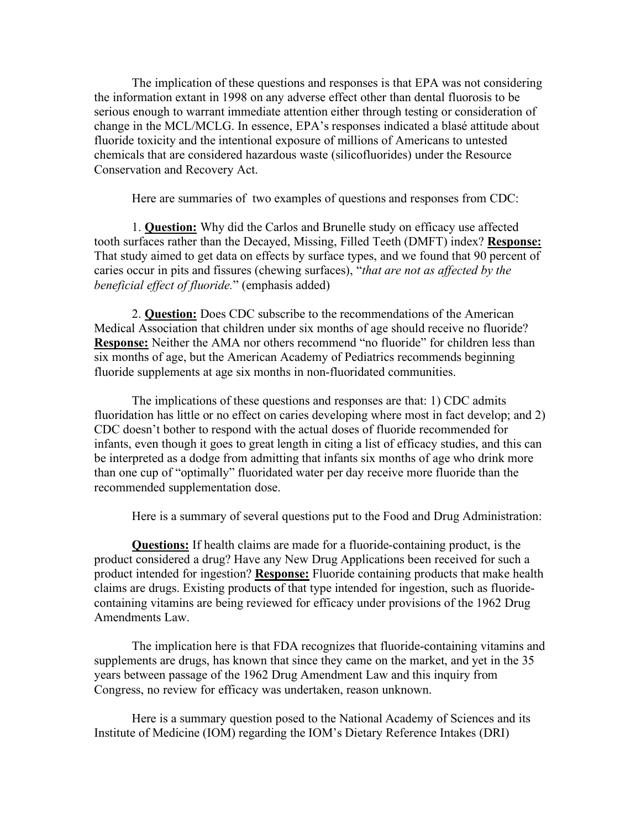The implication of these questions and responses is that EPA was not considering the information extant in 1998 on any adverse effect other than dental fluorosis to be serious enough to warrant immediate attention either through testing or consideration of change in the MCL/MCLG. In essence, EPA's responses indicated a blasé attitude about fluoride toxicity and the intentional exposure of millions of Americans to untested chemicals that are considered hazardous waste (silicofluorides) under the Resource Conservation and Recovery Act.

Here are summaries of two examples of questions and responses from CDC:

1. **Question:** Why did the Carlos and Brunelle study on efficacy use affected tooth surfaces rather than the Decayed, Missing, Filled Teeth (DMFT) index? **Response:** That study aimed to get data on effects by surface types, and we found that 90 percent of caries occur in pits and fissures (chewing surfaces), "*that are not as affected by the beneficial effect of fluoride.*" (emphasis added)

2. **Question:** Does CDC subscribe to the recommendations of the American Medical Association that children under six months of age should receive no fluoride? **Response:** Neither the AMA nor others recommend "no fluoride" for children less than six months of age, but the American Academy of Pediatrics recommends beginning fluoride supplements at age six months in non-fluoridated communities.

The implications of these questions and responses are that: 1) CDC admits fluoridation has little or no effect on caries developing where most in fact develop; and 2) CDC doesn't bother to respond with the actual doses of fluoride recommended for infants, even though it goes to great length in citing a list of efficacy studies, and this can be interpreted as a dodge from admitting that infants six months of age who drink more than one cup of "optimally" fluoridated water per day receive more fluoride than the recommended supplementation dose.

Here is a summary of several questions put to the Food and Drug Administration:

**Questions:** If health claims are made for a fluoride-containing product, is the product considered a drug? Have any New Drug Applications been received for such a product intended for ingestion? **Response:** Fluoride containing products that make health claims are drugs. Existing products of that type intended for ingestion, such as fluoridecontaining vitamins are being reviewed for efficacy under provisions of the 1962 Drug Amendments Law.

The implication here is that FDA recognizes that fluoride-containing vitamins and supplements are drugs, has known that since they came on the market, and yet in the 35 years between passage of the 1962 Drug Amendment Law and this inquiry from Congress, no review for efficacy was undertaken, reason unknown.

Here is a summary question posed to the National Academy of Sciences and its Institute of Medicine (IOM) regarding the IOM's Dietary Reference Intakes (DRI)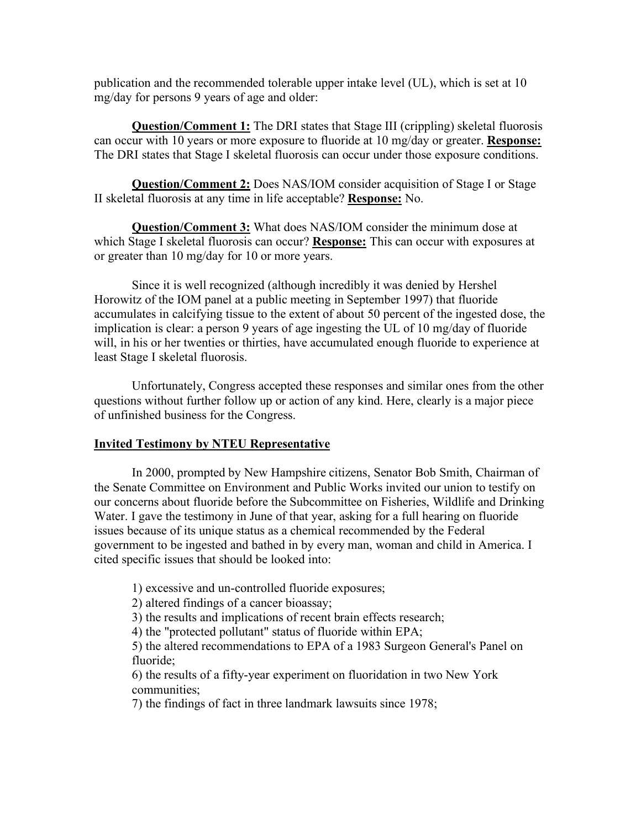publication and the recommended tolerable upper intake level (UL), which is set at 10 mg/day for persons 9 years of age and older:

**Question/Comment 1:** The DRI states that Stage III (crippling) skeletal fluorosis can occur with 10 years or more exposure to fluoride at 10 mg/day or greater. **Response:** The DRI states that Stage I skeletal fluorosis can occur under those exposure conditions.

**Question/Comment 2:** Does NAS/IOM consider acquisition of Stage I or Stage II skeletal fluorosis at any time in life acceptable? **Response:** No.

**Question/Comment 3:** What does NAS/IOM consider the minimum dose at which Stage I skeletal fluorosis can occur? **Response:** This can occur with exposures at or greater than 10 mg/day for 10 or more years.

Since it is well recognized (although incredibly it was denied by Hershel Horowitz of the IOM panel at a public meeting in September 1997) that fluoride accumulates in calcifying tissue to the extent of about 50 percent of the ingested dose, the implication is clear: a person 9 years of age ingesting the UL of 10 mg/day of fluoride will, in his or her twenties or thirties, have accumulated enough fluoride to experience at least Stage I skeletal fluorosis.

Unfortunately, Congress accepted these responses and similar ones from the other questions without further follow up or action of any kind. Here, clearly is a major piece of unfinished business for the Congress.

# **Invited Testimony by NTEU Representative**

In 2000, prompted by New Hampshire citizens, Senator Bob Smith, Chairman of the Senate Committee on Environment and Public Works invited our union to testify on our concerns about fluoride before the Subcommittee on Fisheries, Wildlife and Drinking Water. I gave the testimony in June of that year, asking for a full hearing on fluoride issues because of its unique status as a chemical recommended by the Federal government to be ingested and bathed in by every man, woman and child in America. I cited specific issues that should be looked into:

1) excessive and un-controlled fluoride exposures;

2) altered findings of a cancer bioassay;

3) the results and implications of recent brain effects research;

4) the "protected pollutant" status of fluoride within EPA;

5) the altered recommendations to EPA of a 1983 Surgeon General's Panel on fluoride;

6) the results of a fifty-year experiment on fluoridation in two New York communities;

7) the findings of fact in three landmark lawsuits since 1978;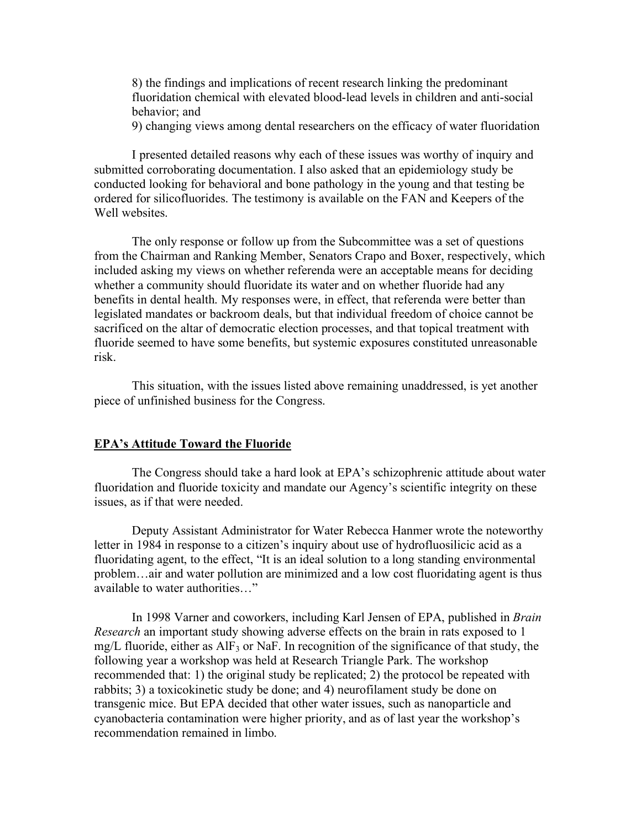8) the findings and implications of recent research linking the predominant fluoridation chemical with elevated blood-lead levels in children and anti-social behavior; and

9) changing views among dental researchers on the efficacy of water fluoridation

I presented detailed reasons why each of these issues was worthy of inquiry and submitted corroborating documentation. I also asked that an epidemiology study be conducted looking for behavioral and bone pathology in the young and that testing be ordered for silicofluorides. The testimony is available on the FAN and Keepers of the Well websites.

The only response or follow up from the Subcommittee was a set of questions from the Chairman and Ranking Member, Senators Crapo and Boxer, respectively, which included asking my views on whether referenda were an acceptable means for deciding whether a community should fluoridate its water and on whether fluoride had any benefits in dental health. My responses were, in effect, that referenda were better than legislated mandates or backroom deals, but that individual freedom of choice cannot be sacrificed on the altar of democratic election processes, and that topical treatment with fluoride seemed to have some benefits, but systemic exposures constituted unreasonable risk.

This situation, with the issues listed above remaining unaddressed, is yet another piece of unfinished business for the Congress.

## **EPA's Attitude Toward the Fluoride**

The Congress should take a hard look at EPA's schizophrenic attitude about water fluoridation and fluoride toxicity and mandate our Agency's scientific integrity on these issues, as if that were needed.

Deputy Assistant Administrator for Water Rebecca Hanmer wrote the noteworthy letter in 1984 in response to a citizen's inquiry about use of hydrofluosilicic acid as a fluoridating agent, to the effect, "It is an ideal solution to a long standing environmental problem…air and water pollution are minimized and a low cost fluoridating agent is thus available to water authorities…"

In 1998 Varner and coworkers, including Karl Jensen of EPA, published in *Brain Research* an important study showing adverse effects on the brain in rats exposed to 1 mg/L fluoride, either as  $\text{AlF}_3$  or NaF. In recognition of the significance of that study, the following year a workshop was held at Research Triangle Park. The workshop recommended that: 1) the original study be replicated; 2) the protocol be repeated with rabbits; 3) a toxicokinetic study be done; and 4) neurofilament study be done on transgenic mice. But EPA decided that other water issues, such as nanoparticle and cyanobacteria contamination were higher priority, and as of last year the workshop's recommendation remained in limbo.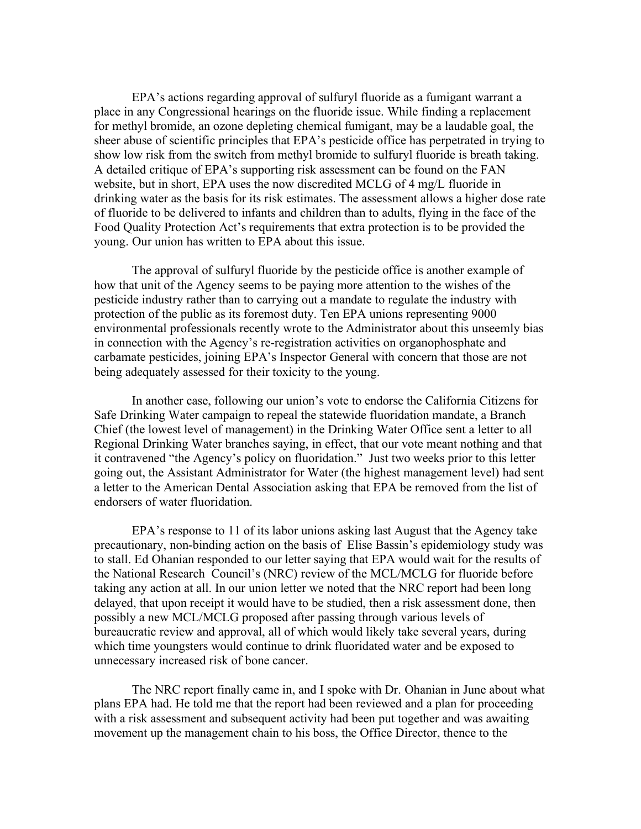EPA's actions regarding approval of sulfuryl fluoride as a fumigant warrant a place in any Congressional hearings on the fluoride issue. While finding a replacement for methyl bromide, an ozone depleting chemical fumigant, may be a laudable goal, the sheer abuse of scientific principles that EPA's pesticide office has perpetrated in trying to show low risk from the switch from methyl bromide to sulfuryl fluoride is breath taking. A detailed critique of EPA's supporting risk assessment can be found on the FAN website, but in short, EPA uses the now discredited MCLG of 4 mg/L fluoride in drinking water as the basis for its risk estimates. The assessment allows a higher dose rate of fluoride to be delivered to infants and children than to adults, flying in the face of the Food Quality Protection Act's requirements that extra protection is to be provided the young. Our union has written to EPA about this issue.

The approval of sulfuryl fluoride by the pesticide office is another example of how that unit of the Agency seems to be paying more attention to the wishes of the pesticide industry rather than to carrying out a mandate to regulate the industry with protection of the public as its foremost duty. Ten EPA unions representing 9000 environmental professionals recently wrote to the Administrator about this unseemly bias in connection with the Agency's re-registration activities on organophosphate and carbamate pesticides, joining EPA's Inspector General with concern that those are not being adequately assessed for their toxicity to the young.

In another case, following our union's vote to endorse the California Citizens for Safe Drinking Water campaign to repeal the statewide fluoridation mandate, a Branch Chief (the lowest level of management) in the Drinking Water Office sent a letter to all Regional Drinking Water branches saying, in effect, that our vote meant nothing and that it contravened "the Agency's policy on fluoridation." Just two weeks prior to this letter going out, the Assistant Administrator for Water (the highest management level) had sent a letter to the American Dental Association asking that EPA be removed from the list of endorsers of water fluoridation.

EPA's response to 11 of its labor unions asking last August that the Agency take precautionary, non-binding action on the basis of Elise Bassin's epidemiology study was to stall. Ed Ohanian responded to our letter saying that EPA would wait for the results of the National Research Council's (NRC) review of the MCL/MCLG for fluoride before taking any action at all. In our union letter we noted that the NRC report had been long delayed, that upon receipt it would have to be studied, then a risk assessment done, then possibly a new MCL/MCLG proposed after passing through various levels of bureaucratic review and approval, all of which would likely take several years, during which time youngsters would continue to drink fluoridated water and be exposed to unnecessary increased risk of bone cancer.

The NRC report finally came in, and I spoke with Dr. Ohanian in June about what plans EPA had. He told me that the report had been reviewed and a plan for proceeding with a risk assessment and subsequent activity had been put together and was awaiting movement up the management chain to his boss, the Office Director, thence to the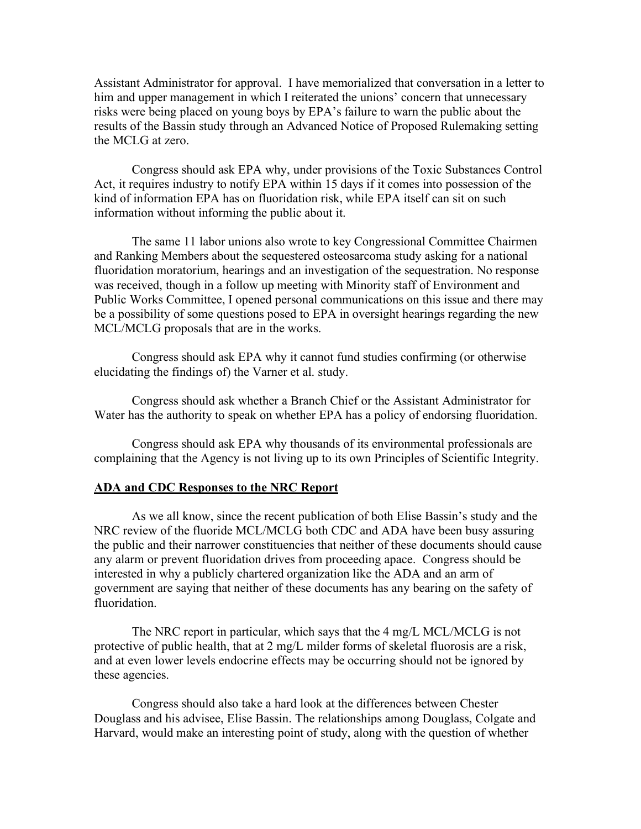Assistant Administrator for approval. I have memorialized that conversation in a letter to him and upper management in which I reiterated the unions' concern that unnecessary risks were being placed on young boys by EPA's failure to warn the public about the results of the Bassin study through an Advanced Notice of Proposed Rulemaking setting the MCLG at zero.

Congress should ask EPA why, under provisions of the Toxic Substances Control Act, it requires industry to notify EPA within 15 days if it comes into possession of the kind of information EPA has on fluoridation risk, while EPA itself can sit on such information without informing the public about it.

The same 11 labor unions also wrote to key Congressional Committee Chairmen and Ranking Members about the sequestered osteosarcoma study asking for a national fluoridation moratorium, hearings and an investigation of the sequestration. No response was received, though in a follow up meeting with Minority staff of Environment and Public Works Committee, I opened personal communications on this issue and there may be a possibility of some questions posed to EPA in oversight hearings regarding the new MCL/MCLG proposals that are in the works.

Congress should ask EPA why it cannot fund studies confirming (or otherwise elucidating the findings of) the Varner et al. study.

Congress should ask whether a Branch Chief or the Assistant Administrator for Water has the authority to speak on whether EPA has a policy of endorsing fluoridation.

Congress should ask EPA why thousands of its environmental professionals are complaining that the Agency is not living up to its own Principles of Scientific Integrity.

## **ADA and CDC Responses to the NRC Report**

As we all know, since the recent publication of both Elise Bassin's study and the NRC review of the fluoride MCL/MCLG both CDC and ADA have been busy assuring the public and their narrower constituencies that neither of these documents should cause any alarm or prevent fluoridation drives from proceeding apace. Congress should be interested in why a publicly chartered organization like the ADA and an arm of government are saying that neither of these documents has any bearing on the safety of fluoridation.

The NRC report in particular, which says that the 4 mg/L MCL/MCLG is not protective of public health, that at 2 mg/L milder forms of skeletal fluorosis are a risk, and at even lower levels endocrine effects may be occurring should not be ignored by these agencies.

Congress should also take a hard look at the differences between Chester Douglass and his advisee, Elise Bassin. The relationships among Douglass, Colgate and Harvard, would make an interesting point of study, along with the question of whether